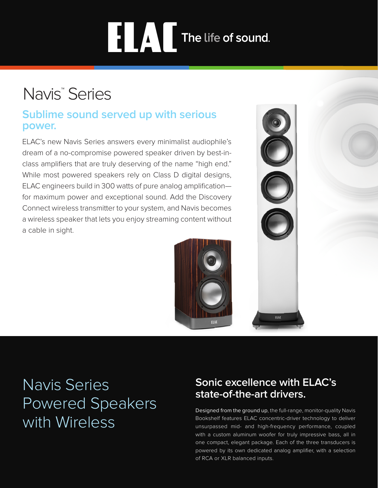# **THE LAND The life of sound.**

# Navis<sup>™</sup> Series

### **Sublime sound served up with serious power.**

ELAC's new Navis Series answers every minimalist audiophile's dream of a no-compromise powered speaker driven by best-inclass amplifiers that are truly deserving of the name "high end." While most powered speakers rely on Class D digital designs, ELAC engineers build in 300 watts of pure analog amplification for maximum power and exceptional sound. Add the Discovery Connect wireless transmitter to your system, and Navis becomes a wireless speaker that lets you enjoy streaming content without a cable in sight.





## Navis Series Powered Speakers with Wireless

## **Sonic excellence with ELAC's state-of-the-art drivers.**

Designed from the ground up, the full-range, monitor-quality Navis Bookshelf features ELAC concentric-driver technology to deliver unsurpassed mid- and high-frequency performance, coupled with a custom aluminum woofer for truly impressive bass, all in one compact, elegant package. Each of the three transducers is powered by its own dedicated analog amplifier, with a selection of RCA or XLR balanced inputs.